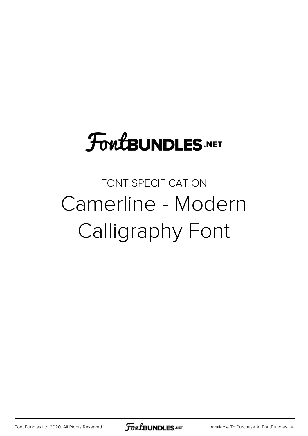## **FoutBUNDLES.NET**

## FONT SPECIFICATION Camerline - Modern Calligraphy Font

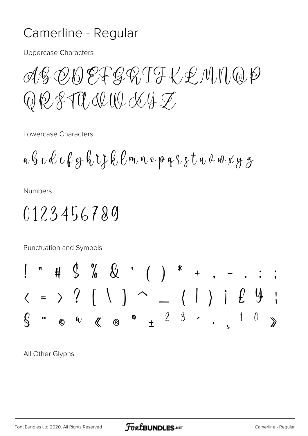## Camerline - Regular

**Uppercase Characters** 

AS OB EFGRIT KEMMQP  $\begin{array}{c} \mathbb{Q} \not\in \mathbb{R} \mathbb{R} \mathbb{U} \mathbb{U} \mathbb{U} \mathbb{U} \mathbb{U} \mathbb{U} \mathbb{U} \mathbb{U} \mathbb{U} \mathbb{U} \mathbb{U} \mathbb{U} \mathbb{U} \mathbb{U} \mathbb{U} \mathbb{U} \mathbb{U} \mathbb{U} \mathbb{U} \mathbb{U} \mathbb{U} \mathbb{U} \mathbb{U} \mathbb{U} \mathbb{U} \mathbb{U} \mathbb{U} \mathbb{U} \mathbb{U} \mathbb{U} \mathbb{U} \mathbb{U$ 

Lowercase Characters

$$
a \not\! G\ c \not\! \ell\ c \not\! \ell\ g \not\! \ell\ \dot\iota\ \xi \not\! \ell\ \ell\ m \not\!\! \nu\ o \not\!\! \rho\ q \not\!\! \ell\ g \not\!\! \tau\ u \not\!\! \omega\ \omega\ \chi\ g\ \not\!\! \sigma
$$

**Numbers** 

## 0123456789

Punctuation and Symbols

All Other Glyphs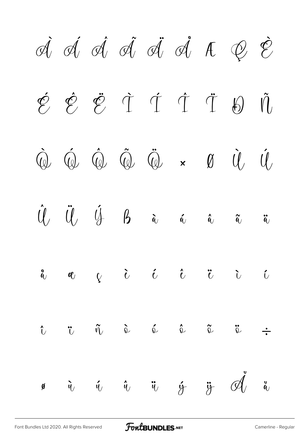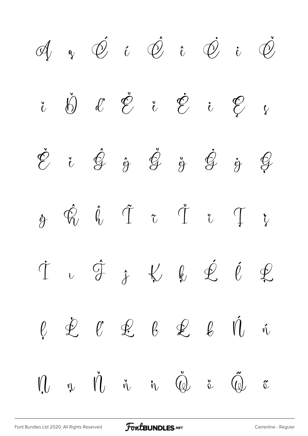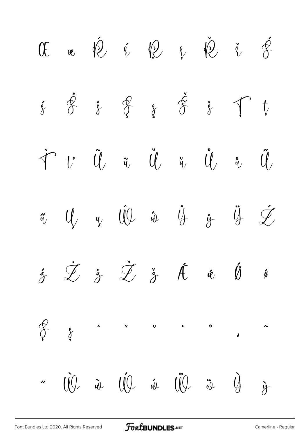$\begin{array}{cccccccccccccc} 0 & \text{e} & \text{e} & \text{e} & \text{e} & \text{e} & \text{e} & \text{e} & \text{e} & \text{e} & \text{e} & \text{e} & \text{e} & \text{e} & \text{e} & \text{e} & \text{e} & \text{e} & \text{e} & \text{e} & \text{e} & \text{e} & \text{e} & \text{e} & \text{e} & \text{e} & \text{e} & \text{e} & \text{e} & \text{e} & \text{e} & \text{e} & \text{e} & \text{e} & \text{e} & \text{$  $\acute{\mathfrak{F}}$   $\acute{\mathfrak{F}}$   $\acute{\mathfrak{F}}$   $\acute{\mathfrak{F}}$   $\acute{\mathfrak{F}}$   $\acute{\mathfrak{F}}$   $\acute{\mathfrak{F}}$   $\mathfrak{\mathfrak{f}}$ Ť ť Ũ ũ Ŭ ŭ Ů ů Ű ű Ų ų Ŵ ŵ Ŷ ŷ Ÿ Ź  $\dot{\mathbf{z}} \quad \dot{\mathbf{z}} \quad \dot{\mathbf{z}} \quad \dot{\mathbf{z}} \quad \dot{\mathbf{z}} \quad \dot{\mathbf{z}} \quad \dot{\mathbf{z}} \quad \dot{\mathbf{z}} \quad \dot{\mathbf{z}} \quad \dot{\mathbf{z}} \quad \dot{\mathbf{z}} \quad \dot{\mathbf{z}} \quad \dot{\mathbf{z}} \quad \dot{\mathbf{z}} \quad \dot{\mathbf{z}} \quad \dot{\mathbf{z}} \quad \dot{\mathbf{z}} \quad \dot{\mathbf{z}} \quad \dot{\mathbf{z}} \quad \dot{\mathbf{z}} \quad \dot{\mathbf{z}} \quad \dot{\mathbf{z}} \quad$  $\begin{matrix} 0 & 0 \\ 0 & 0 \end{matrix}$ ˆ ˇ ˘ ˙ ˚ ˛  $\sim$  $\overline{\mathbf{c}}$  $\cdot$   $\dot{w}$   $\ddot{w}$   $\ddot{w}$   $\ddot{w}$   $\ddot{w}$   $\ddot{w}$   $\ddot{w}$   $\ddot{w}$